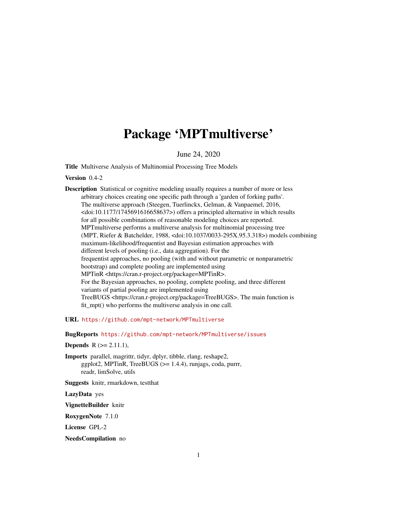# Package 'MPTmultiverse'

June 24, 2020

<span id="page-0-0"></span>Title Multiverse Analysis of Multinomial Processing Tree Models

Version 0.4-2

Description Statistical or cognitive modeling usually requires a number of more or less arbitrary choices creating one specific path through a 'garden of forking paths'. The multiverse approach (Steegen, Tuerlinckx, Gelman, & Vanpaemel, 2016,  $\langle \text{doi:10.1177/1745691616658637>} \rangle$  offers a principled alternative in which results for all possible combinations of reasonable modeling choices are reported. MPTmultiverse performs a multiverse analysis for multinomial processing tree (MPT, Riefer & Batchelder, 1988, <doi:10.1037/0033-295X.95.3.318>) models combining maximum-likelihood/frequentist and Bayesian estimation approaches with different levels of pooling (i.e., data aggregation). For the frequentist approaches, no pooling (with and without parametric or nonparametric bootstrap) and complete pooling are implemented using MPTinR <https://cran.r-project.org/package=MPTinR>. For the Bayesian approaches, no pooling, complete pooling, and three different variants of partial pooling are implemented using TreeBUGS <https://cran.r-project.org/package=TreeBUGS>. The main function is fit\_mpt() who performs the multiverse analysis in one call.

URL <https://github.com/mpt-network/MPTmultiverse>

BugReports <https://github.com/mpt-network/MPTmultiverse/issues>

**Depends**  $R (= 2.11.1)$ ,

Imports parallel, magrittr, tidyr, dplyr, tibble, rlang, reshape2, ggplot2, MPTinR, TreeBUGS  $(>= 1.4.4)$ , runjags, coda, purrr, readr, limSolve, utils

Suggests knitr, rmarkdown, testthat

LazyData yes

VignetteBuilder knitr

RoxygenNote 7.1.0

License GPL-2

NeedsCompilation no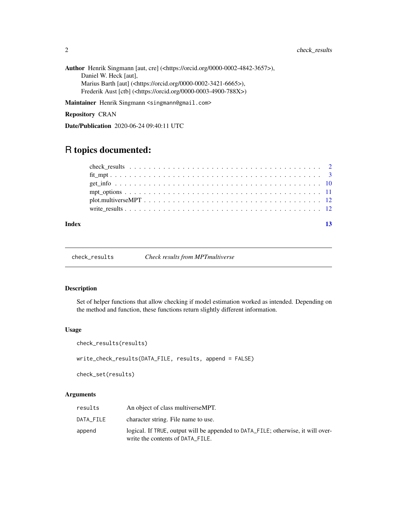Author Henrik Singmann [aut, cre] (<https://orcid.org/0000-0002-4842-3657>), Daniel W. Heck [aut], Marius Barth [aut] (<https://orcid.org/0000-0002-3421-6665>), Frederik Aust [ctb] (<https://orcid.org/0000-0003-4900-788X>)

Maintainer Henrik Singmann <singmann@gmail.com>

Repository CRAN

Date/Publication 2020-06-24 09:40:11 UTC

## R topics documented:

| Index |  |
|-------|--|
|       |  |
|       |  |
|       |  |
|       |  |
|       |  |
|       |  |

check\_results *Check results from MPTmultiverse*

#### Description

Set of helper functions that allow checking if model estimation worked as intended. Depending on the method and function, these functions return slightly different information.

#### Usage

```
check_results(results)
```
write\_check\_results(DATA\_FILE, results, append = FALSE)

check\_set(results)

#### Arguments

| results   | An object of class multiverseMPT.                                                                                    |
|-----------|----------------------------------------------------------------------------------------------------------------------|
| DATA FILE | character string. File name to use.                                                                                  |
| append    | logical. If TRUE, output will be appended to DATA_FILE; otherwise, it will over-<br>write the contents of DATA FILE. |

<span id="page-1-0"></span>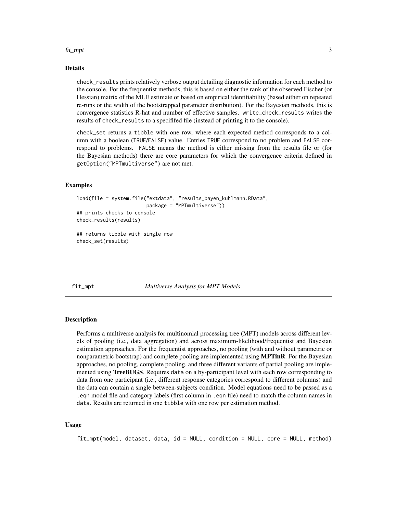#### <span id="page-2-0"></span>fit\_mpt 3

#### Details

check\_results prints relatively verbose output detailing diagnostic information for each method to the console. For the frequentist methods, this is based on either the rank of the observed Fischer (or Hessian) matrix of the MLE estimate or based on empirical identifiability (based either on repeated re-runs or the width of the bootstrapped parameter distribution). For the Bayesian methods, this is convergence statistics R-hat and number of effective samples. write\_check\_results writes the results of check\_results to a specififed file (instead of printing it to the console).

check\_set returns a tibble with one row, where each expected method corresponds to a column with a boolean (TRUE/FALSE) value. Entries TRUE correspond to no problem and FALSE correspond to problems. FALSE means the method is either missing from the results file or (for the Bayesian methods) there are core parameters for which the convergence criteria defined in getOption("MPTmultiverse") are not met.

#### Examples

```
load(file = system.file("extdata", "results_bayen_kuhlmann.RData",
                        package = "MPTmultiverse"))
## prints checks to console
check_results(results)
## returns tibble with single row
check_set(results)
```
fit\_mpt *Multiverse Analysis for MPT Models*

#### **Description**

Performs a multiverse analysis for multinomial processing tree (MPT) models across different levels of pooling (i.e., data aggregation) and across maximum-likelihood/frequentist and Bayesian estimation approaches. For the frequentist approaches, no pooling (with and without parametric or nonparametric bootstrap) and complete pooling are implemented using **MPTinR**. For the Bayesian approaches, no pooling, complete pooling, and three different variants of partial pooling are implemented using **TreeBUGS**. Requires data on a by-participant level with each row corresponding to data from one participant (i.e., different response categories correspond to different columns) and the data can contain a single between-subjects condition. Model equations need to be passed as a .eqn model file and category labels (first column in .eqn file) need to match the column names in data. Results are returned in one tibble with one row per estimation method.

#### Usage

fit\_mpt(model, dataset, data, id = NULL, condition = NULL, core = NULL, method)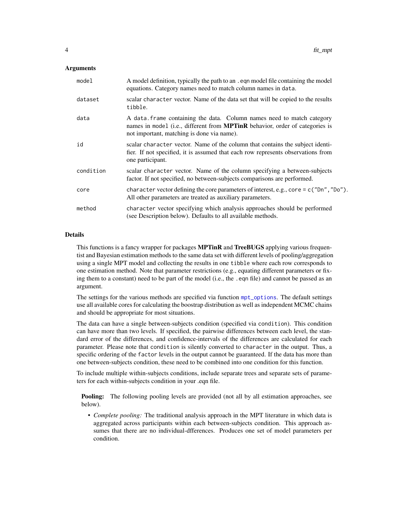#### <span id="page-3-0"></span>**Arguments**

| model     | A model definition, typically the path to an . eqn model file containing the model<br>equations. Category names need to match column names in data.                                                        |
|-----------|------------------------------------------------------------------------------------------------------------------------------------------------------------------------------------------------------------|
| dataset   | scalar character vector. Name of the data set that will be copied to the results<br>tibble.                                                                                                                |
| data      | A data frame containing the data. Column names need to match category<br>names in model (i.e., different from <b>MPTinR</b> behavior, order of categories is<br>not important, matching is done via name). |
| id        | scalar character vector. Name of the column that contains the subject identi-<br>fier. If not specified, it is assumed that each row represents observations from<br>one participant.                      |
| condition | scalar character vector. Name of the column specifying a between-subjects<br>factor. If not specified, no between-subjects comparisons are performed.                                                      |
| core      | character vector defining the core parameters of interest, e.g., core = $c("Dn", "Do")$ .<br>All other parameters are treated as auxiliary parameters.                                                     |
| method    | character vector specifying which analysis approaches should be performed<br>(see Description below). Defaults to all available methods.                                                                   |

#### Details

This functions is a fancy wrapper for packages **MPTinR** and **TreeBUGS** applying various frequentist and Bayesian estimation methods to the same data set with different levels of pooling/aggregation using a single MPT model and collecting the results in one tibble where each row corresponds to one estimation method. Note that parameter restrictions (e.g., equating different parameters or fixing them to a constant) need to be part of the model (i.e., the .eqn file) and cannot be passed as an argument.

The settings for the various methods are specified via function [mpt\\_options](#page-10-1). The default settings use all available cores for calculating the boostrap distribution as well as independent MCMC chains and should be appropriate for most situations.

The data can have a single between-subjects condition (specified via condition). This condition can have more than two levels. If specified, the pairwise differences between each level, the standard error of the differences, and confidence-intervals of the differences are calculated for each parameter. Please note that condition is silently converted to character in the output. Thus, a specific ordering of the factor levels in the output cannot be guaranteed. If the data has more than one between-subjects condition, these need to be combined into one condition for this function.

To include multiple within-subjects conditions, include separate trees and separate sets of parameters for each within-subjects condition in your .eqn file.

**Pooling:** The following pooling levels are provided (not all by all estimation approaches, see below).

• *Complete pooling:* The traditional analysis approach in the MPT literature in which data is aggregated across participants within each between-subjects condition. This approach assumes that there are no individual-dfferences. Produces one set of model parameters per condition.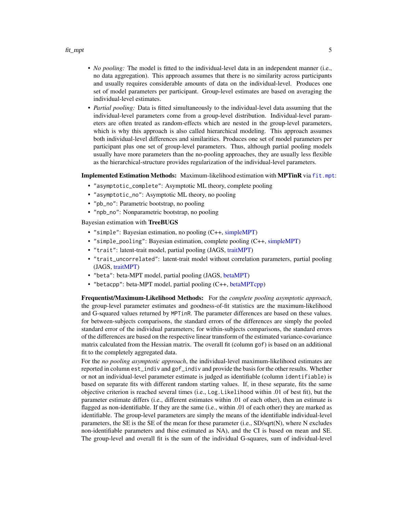#### <span id="page-4-0"></span>fit\_mpt 5

- *No pooling:* The model is fitted to the individual-level data in an independent manner (i.e., no data aggregation). This approach assumes that there is no similarity across participants and usually requires considerable amounts of data on the individual-level. Produces one set of model parameters per participant. Group-level estimates are based on averaging the individual-level estimates.
- *Partial pooling:* Data is fitted simultaneously to the individual-level data assuming that the individual-level parameters come from a group-level distribution. Individual-level parameters are often treated as random-effects which are nested in the group-level parameters, which is why this approach is also called hierarchical modeling. This approach assumes both individual-level differences and similarities. Produces one set of model parameters per participant plus one set of group-level parameters. Thus, although partial pooling models usually have more parameters than the no-pooling approaches, they are usually less flexible as the hierarchical-structure provides regularization of the individual-level parameters.

Implemented Estimation Methods: Maximum-likelihood estimation with MPTinR via [fit.mpt](#page-0-0):

- "asymptotic\_complete": Asymptotic ML theory, complete pooling
- "asymptotic\_no": Asymptotic ML theory, no pooling
- "pb\_no": Parametric bootstrap, no pooling
- "npb\_no": Nonparametric bootstrap, no pooling

Bayesian estimation with TreeBUGS

- "simple": Bayesian estimation, no pooling (C++, [simpleMPT\)](#page-0-0)
- "simple\_pooling": Bayesian estimation, complete pooling (C++, [simpleMPT\)](#page-0-0)
- "trait": latent-trait model, partial pooling (JAGS, [traitMPT\)](#page-0-0)
- "trait\_uncorrelated": latent-trait model without correlation parameters, partial pooling (JAGS, [traitMPT\)](#page-0-0)
- "beta": beta-MPT model, partial pooling (JAGS, [betaMPT\)](#page-0-0)
- "betacpp": beta-MPT model, partial pooling (C++, [betaMPTcpp\)](#page-0-0)

Frequentist/Maximum-Likelihood Methods: For the *complete pooling asymptotic approach*, the group-level parameter estimates and goodness-of-fit statistics are the maximum-likelihood and G-squared values returned by MPTinR. The parameter differences are based on these values. for between-subjects comparisons, the standard errors of the differences are simply the pooled standard error of the individual parameters; for within-subjects comparisons, the standard errors of the differences are based on the respective linear transform of the estimated variance-covariance matrix calculated from the Hessian matrix. The overall fit (column gof) is based on an additional fit to the completely aggregated data.

For the *no pooling asymptotic approach*, the individual-level maximum-likelihood estimates are reported in column est\_indiv and gof\_indiv and provide the basis for the other results. Whether or not an individual-level parameter estimate is judged as identifiable (column identifiable) is based on separate fits with different random starting values. If, in these separate, fits the same objective criterion is reached several times (i.e., Log.Likelihood within .01 of best fit), but the parameter estimate differs (i.e., different estimates within .01 of each other), then an estimate is flagged as non-identifiable. If they are the same (i.e., within .01 of each other) they are marked as identifiable. The group-level parameters are simply the means of the identifiable individual-level parameters, the SE is the SE of the mean for these parameter (i.e.,  $SD/sqrt(N)$ , where N excludes non-identifiable parameters and thise estimated as NA), and the CI is based on mean and SE. The group-level and overall fit is the sum of the individual G-squares, sum of individual-level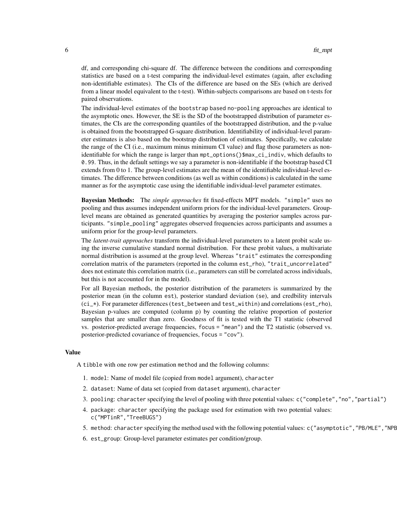df, and corresponding chi-square df. The difference between the conditions and corresponding statistics are based on a t-test comparing the individual-level estimates (again, after excluding non-identifiable estimates). The CIs of the difference are based on the SEs (which are derived from a linear model equivalent to the t-test). Within-subjects comparisons are based on t-tests for paired observations.

The individual-level estimates of the bootstrap based no-pooling approaches are identical to the asymptotic ones. However, the SE is the SD of the bootstrapped distribution of parameter estimates, the CIs are the corresponding quantiles of the bootstrapped distribution, and the p-value is obtained from the bootstrapped G-square distribution. Identifiability of individual-level parameter estimates is also based on the bootstrap distribution of estimates. Specifically, we calculate the range of the CI (i.e., maximum minus minimum CI value) and flag those parameters as nonidentifiable for which the range is larger than mpt\_options()\$max\_ci\_indiv, which defaults to 0.99. Thus, in the default settings we say a parameter is non-identifiable if the bootstrap based CI extends from 0 to 1. The group-level estimates are the mean of the identifiable individual-level estimates. The difference between conditions (as well as within conditions) is calculated in the same manner as for the asymptotic case using the identifiable individual-level parameter estimates.

Bayesian Methods: The *simple approaches* fit fixed-effects MPT models. "simple" uses no pooling and thus assumes independent uniform priors for the individual-level parameters. Grouplevel means are obtained as generated quantities by averaging the posterior samples across participants. "simple\_pooling" aggregates observed frequencies across participants and assumes a uniform prior for the group-level parameters.

The *latent-trait approaches* transform the individual-level parameters to a latent probit scale using the inverse cumulative standard normal distribution. For these probit values, a multivariate normal distribution is assumed at the group level. Whereas "trait" estimates the corresponding correlation matrix of the parameters (reported in the column est\_rho), "trait\_uncorrelated" does not estimate this correlation matrix (i.e., parameters can still be correlated across individuals, but this is not accounted for in the model).

For all Bayesian methods, the posterior distribution of the parameters is summarized by the posterior mean (in the column est), posterior standard deviation (se), and credbility intervals (ci\_\*). For parameter differences (test\_between and test\_within) and correlations (est\_rho), Bayesian p-values are computed (column p) by counting the relative proportion of posterior samples that are smaller than zero. Goodness of fit is tested with the T1 statistic (observed vs. posterior-predicted average frequencies, focus = "mean") and the T2 statistic (observed vs. posterior-predicted covariance of frequencies, focus = "cov").

#### Value

A tibble with one row per estimation method and the following columns:

- 1. model: Name of model file (copied from model argument), character
- 2. dataset: Name of data set (copied from dataset argument), character
- 3. pooling: character specifying the level of pooling with three potential values: c("complete","no","partial")
- 4. package: character specifying the package used for estimation with two potential values: c("MPTinR","TreeBUGS")
- 5. method: character specifying the method used with the following potential values: c("asymptotic","PB/MLE","NPB
- 6. est\_group: Group-level parameter estimates per condition/group.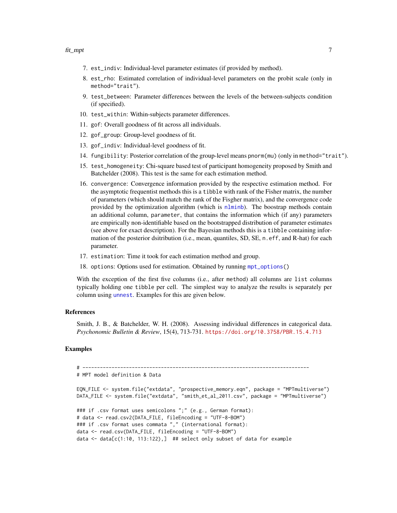- <span id="page-6-0"></span>7. est\_indiv: Individual-level parameter estimates (if provided by method).
- 8. est\_rho: Estimated correlation of individual-level parameters on the probit scale (only in method="trait").
- 9. test\_between: Parameter differences between the levels of the between-subjects condition (if specified).
- 10. test\_within: Within-subjects parameter differences.
- 11. gof: Overall goodness of fit across all individuals.
- 12. gof\_group: Group-level goodness of fit.
- 13. gof\_indiv: Individual-level goodness of fit.
- 14. fungibility: Posterior correlation of the group-level means pnorm(mu) (only in method="trait").
- 15. test\_homogeneity: Chi-square based test of participant homogeneity proposed by Smith and Batchelder (2008). This test is the same for each estimation method.
- 16. convergence: Convergence information provided by the respective estimation method. For the asymptotic frequentist methods this is a tibble with rank of the Fisher matrix, the number of parameters (which should match the rank of the Fisgher matrix), and the convergence code provided by the optimization algorithm (which is [nlminb](#page-0-0)). The boostrap methods contain an additional column, parameter, that contains the information which (if any) parameters are empirically non-identifiable based on the bootstrapped distribution of parameter estimates (see above for exact description). For the Bayesian methods this is a tibble containing information of the posterior dsitribution (i.e., mean, quantiles, SD, SE, n.eff, and R-hat) for each parameter.
- 17. estimation: Time it took for each estimation method and group.
- 18. options: Options used for estimation. Obtained by running  $mpt$ -options()

With the exception of the first five columns (i.e., after method) all columns are list columns typically holding one tibble per cell. The simplest way to analyze the results is separately per column using [unnest](#page-0-0). Examples for this are given below.

#### References

Smith, J. B., & Batchelder, W. H. (2008). Assessing individual differences in categorical data. *Psychonomic Bulletin & Review*, 15(4), 713-731. <https://doi.org/10.3758/PBR.15.4.713>

#### Examples

```
# ------------------------------------------------------------------------------
# MPT model definition & Data
EQN_FILE <- system.file("extdata", "prospective_memory.eqn", package = "MPTmultiverse")
DATA_FILE <- system.file("extdata", "smith_et_al_2011.csv", package = "MPTmultiverse")
### if .csv format uses semicolons ";" (e.g., German format):
# data <- read.csv2(DATA_FILE, fileEncoding = "UTF-8-BOM")
### if .csv format uses commata "," (international format):
data <- read.csv(DATA_FILE, fileEncoding = "UTF-8-BOM")
data <- data[c(1:10, 113:122),] ## select only subset of data for example
```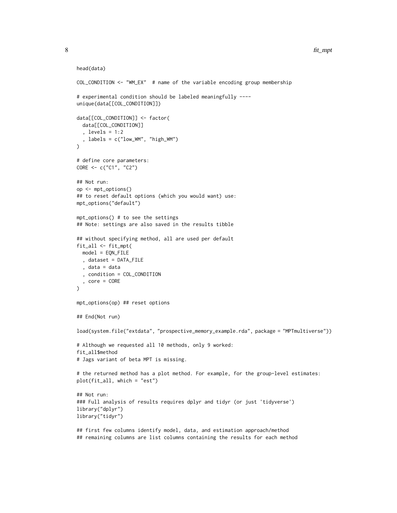#### head(data)

```
COL_CONDITION <- "WM_EX" # name of the variable encoding group membership
# experimental condition should be labeled meaningfully ----
unique(data[[COL_CONDITION]])
data[[COL_CONDITION]] <- factor(
  data[[COL_CONDITION]]
  , levels = 1:2
  , labels = c("low_WM", "high_WM")
\lambda# define core parameters:
CORE <- c("C1", "C2")
## Not run:
op <- mpt_options()
## to reset default options (which you would want) use:
mpt_options("default")
mpt_options() # to see the settings
## Note: settings are also saved in the results tibble
## without specifying method, all are used per default
fit_all <- fit_mpt(
 model = EQN_FILE
  , dataset = DATA_FILE
  , data = data
  , condition = COL_CONDITION
  , core = CORE
\lambdampt_options(op) ## reset options
## End(Not run)
load(system.file("extdata", "prospective_memory_example.rda", package = "MPTmultiverse"))
# Although we requested all 10 methods, only 9 worked:
fit_all$method
# Jags variant of beta MPT is missing.
# the returned method has a plot method. For example, for the group-level estimates:
plot(fit_all, which = "est")
## Not run:
### Full analysis of results requires dplyr and tidyr (or just 'tidyverse')
library("dplyr")
library("tidyr")
## first few columns identify model, data, and estimation approach/method
## remaining columns are list columns containing the results for each method
```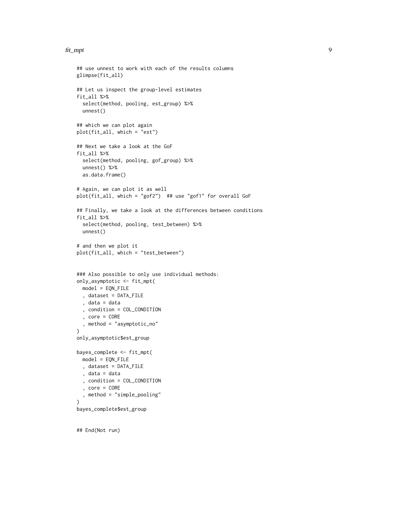#### fit\_mpt 9

```
## use unnest to work with each of the results columns
glimpse(fit_all)
## Let us inspect the group-level estimates
fit_all %>%
  select(method, pooling, est_group) %>%
  unnest()
## which we can plot again
plot(fit_all, which = "est")
## Next we take a look at the GoF
fit_all %>%
  select(method, pooling, gof_group) %>%
  unnest() %>%
  as.data.frame()
# Again, we can plot it as well
plot(fit_all, which = "gof2") ## use "gof1" for overall GoF
## Finally, we take a look at the differences between conditions
fit_all %>%
  select(method, pooling, test_between) %>%
  unnest()
# and then we plot it
plot(fit_all, which = "test_between")
### Also possible to only use individual methods:
only_asymptotic <- fit_mpt(
 model = EQN_FILE
 , dataset = DATA_FILE
  , data = data
  , condition = COL_CONDITION
  , core = CORE
  , method = "asymptotic_no"
\lambdaonly_asymptotic$est_group
bayes_complete <- fit_mpt(
 model = EQN_FILE
  , dataset = DATA_FILE
  , data = data
  , condition = COL_CONDITION
  , core = CORE
  , method = "simple_pooling"
\mathcal{L}bayes_complete$est_group
```
## End(Not run)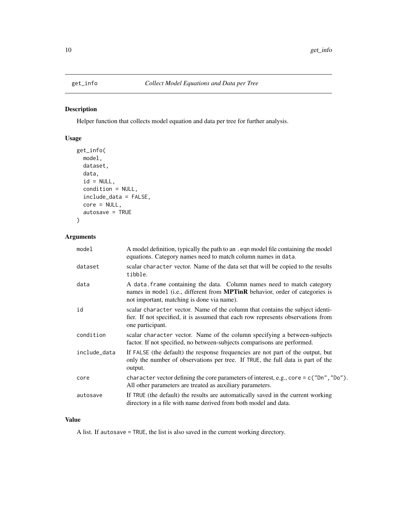<span id="page-9-0"></span>

#### Description

Helper function that collects model equation and data per tree for further analysis.

#### Usage

```
get_info(
 model,
 dataset,
  data,
  id = NULL,condition = NULL,
  include_data = FALSE,
  core = NULL,
  autosave = TRUE
)
```
#### Arguments

| model        | A model definition, typically the path to an . eqn model file containing the model<br>equations. Category names need to match column names in data.                                                         |
|--------------|-------------------------------------------------------------------------------------------------------------------------------------------------------------------------------------------------------------|
| dataset      | scalar character vector. Name of the data set that will be copied to the results<br>tibble.                                                                                                                 |
| data         | A data. frame containing the data. Column names need to match category<br>names in model (i.e., different from <b>MPTinR</b> behavior, order of categories is<br>not important, matching is done via name). |
| id           | scalar character vector. Name of the column that contains the subject identi-<br>fier. If not specified, it is assumed that each row represents observations from<br>one participant.                       |
| condition    | scalar character vector. Name of the column specifying a between-subjects<br>factor. If not specified, no between-subjects comparisons are performed.                                                       |
| include_data | If FALSE (the default) the response frequencies are not part of the output, but<br>only the number of observations per tree. If TRUE, the full data is part of the<br>output.                               |
| core         | character vector defining the core parameters of interest, e.g., core = $c("Dn", "Do")$ .<br>All other parameters are treated as auxiliary parameters.                                                      |
| autosave     | If TRUE (the default) the results are automatically saved in the current working<br>directory in a file with name derived from both model and data.                                                         |

#### Value

A list. If autosave = TRUE, the list is also saved in the current working directory.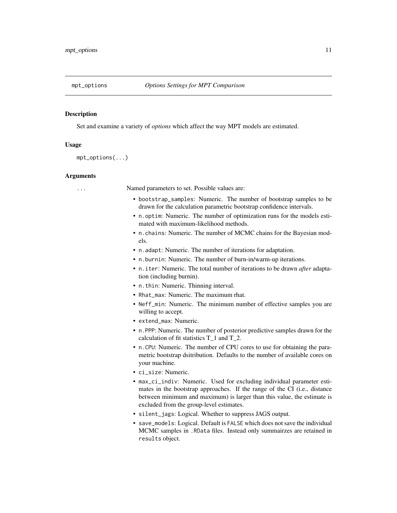<span id="page-10-1"></span><span id="page-10-0"></span>

#### **Description**

Set and examine a variety of *options* which affect the way MPT models are estimated.

#### Usage

mpt\_options(...)

#### Arguments

... Named parameters to set. Possible values are:

- bootstrap\_samples: Numeric. The number of bootstrap samples to be drawn for the calculation parametric bootstrap confidence intervals.
- n.optim: Numeric. The number of optimization runs for the models estimated with maximum-likelihood methods.
- n.chains: Numeric. The number of MCMC chains for the Bayesian models.
- n.adapt: Numeric. The number of iterations for adaptation.
- n.burnin: Numeric. The number of burn-in/warm-up iterations.
- n.iter: Numeric. The total number of iterations to be drawn *after* adaptation (including burnin).
- n.thin: Numeric. Thinning interval.
- Rhat\_max: Numeric. The maximum rhat.
- Neff\_min: Numeric. The minimum number of effective samples you are willing to accept.
- extend\_max: Numeric.
- n.PPP: Numeric. The number of posterior predictive samples drawn for the calculation of fit statistics T\_1 and T\_2.
- n.CPU: Numeric. The number of CPU cores to use for obtaining the parametric bootstrap dsitribution. Defaults to the number of available cores on your machine.
- ci\_size: Numeric.
- max\_ci\_indiv: Numeric. Used for excluding individual parameter estimates in the bootstrap approaches. If the range of the CI (i.e., distance between minimum and maximum) is larger than this value, the estimate is excluded from the group-level estimates.
- silent\_jags: Logical. Whether to suppress JAGS output.
- save\_models: Logical. Default is FALSE which does not save the individual MCMC samples in .RData files. Instead only summairzes are retained in results object.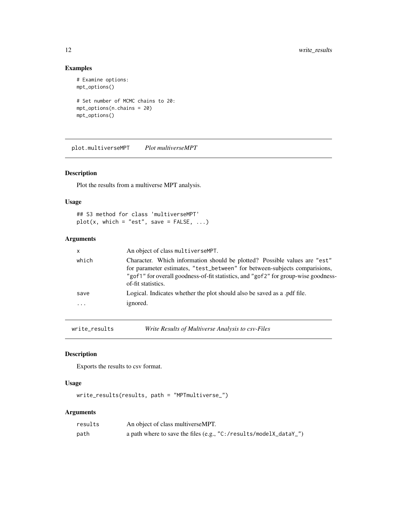#### Examples

```
# Examine options:
mpt_options()
# Set number of MCMC chains to 20:
mpt_options(n.chains = 20)
mpt_options()
```
plot.multiverseMPT *Plot multiverseMPT*

#### Description

Plot the results from a multiverse MPT analysis.

#### Usage

## S3 method for class 'multiverseMPT'  $plot(x, which = "est", save = FALSE, ...)$ 

### Arguments

| X     | An object of class multiverseMPT.                                                                                                                                                                                                                                   |
|-------|---------------------------------------------------------------------------------------------------------------------------------------------------------------------------------------------------------------------------------------------------------------------|
| which | Character. Which information should be plotted? Possible values are "est"<br>for parameter estimates, "test_between" for between-subjects comparisions,<br>"gof1" for overall goodness-of-fit statistics, and "gof2" for group-wise goodness-<br>of-fit statistics. |
| save  | Logical. Indicates whether the plot should also be saved as a pdf file.                                                                                                                                                                                             |
| .     | ignored.                                                                                                                                                                                                                                                            |

write\_results *Write Results of Multiverse Analysis to csv-Files*

#### Description

Exports the results to csv format.

#### Usage

write\_results(results, path = "MPTmultiverse\_")

#### Arguments

| results | An object of class multiverseMPT.                                    |
|---------|----------------------------------------------------------------------|
| path    | a path where to save the files (e.g., $C:$ /results/model X_dataY_") |

<span id="page-11-0"></span>